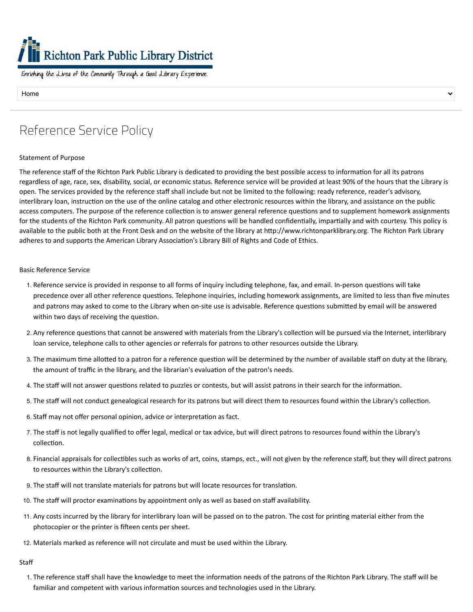# Richton Park Public Library District

Enriching the Lives of the Community Through a Good Library Experience.

Home

## Reference Service Policy

#### Statement of Purpose

The reference staff of the Richton Park Public Library is dedicated to providing the best possible access to information for all its patrons regardless of age, race, sex, disability, social, or economic status. Reference service will be provided at least 90% of the hours that the Library is open. The services provided by the reference staff shall include but not be limited to the following: ready reference, reader's advisory, interlibrary loan, instruction on the use of the online catalog and other electronic resources within the library, and assistance on the public access computers. The purpose of the reference collection is to answer general reference questions and to supplement homework assignments for the students of the Richton Park community. All patron questions will be handled confidentially, impartially and with courtesy. This policy is available to the public both at the Front Desk and on the website of the library at http://www.richtonparklibrary.org. The Richton Park Library adheres to and supports the American Library Association's Library Bill of Rights and Code of Ethics.

#### Basic Reference Service

- 1. Reference service is provided in response to all forms of inquiry including telephone, fax, and email. In-person questions will take precedence over all other reference questions. Telephone inquiries, including homework assignments, are limited to less than five minutes and patrons may asked to come to the Library when on-site use is advisable. Reference questions submitted by email will be answered within two days of receiving the question.
- 2. Any reference questions that cannot be answered with materials from the Library's collection will be pursued via the Internet, interlibrary loan service, telephone calls to other agencies or referrals for patrons to other resources outside the Library.
- 3. The maximum time allotted to a patron for a reference question will be determined by the number of available staff on duty at the library, the amount of traffic in the library, and the librarian's evaluation of the patron's needs.
- 4. The staff will not answer questions related to puzzles or contests, but will assist patrons in their search for the information.
- 5. The staff will not conduct genealogical research for its patrons but will direct them to resources found within the Library's collection.
- 6. Staff may not offer personal opinion, advice or interpretation as fact.
- 7. The staff is not legally qualified to offer legal, medical or tax advice, but will direct patrons to resources found within the Library's collection.
- 8. Financial appraisals for collectibles such as works of art, coins, stamps, ect., will not given by the reference staff, but they will direct patrons to resources within the Library's collection.
- 9. The staff will not translate materials for patrons but will locate resources for translation.
- 10. The staff will proctor examinations by appointment only as well as based on staff availability.
- 11. Any costs incurred by the library for interlibrary loan will be passed on to the patron. The cost for printing material either from the photocopier or the printer is fifteen cents per sheet.
- 12. Materials marked as reference will not circulate and must be used within the Library.

Staff

1. The reference staff shall have the knowledge to meet the information needs of the patrons of the Richton Park Library. The staff will be familiar and competent with various information sources and technologies used in the Library.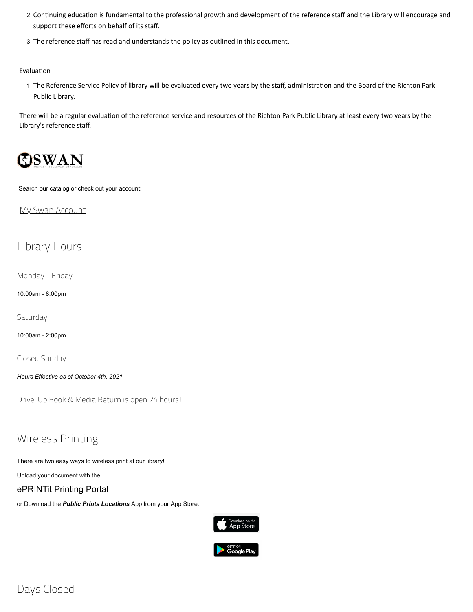- 2. Continuing education is fundamental to the professional growth and development of the reference staff and the Library will encourage and support these efforts on behalf of its staff.
- 3. The reference staff has read and understands the policy as outlined in this document.

Evaluation

1. The Reference Service Policy of library will be evaluated every two years by the staff, administration and the Board of the Richton Park Public Library.

There will be a regular evaluation of the reference service and resources of the Richton Park Public Library at least every two years by the Library's reference staff.



Search our catalog or check out your account:

My Swan [Account](https://swanlibs.ent.sirsi.net/client/en_US/rps/search/account)

### Library Hours

Monday - Friday

10:00am - 8:00pm

**Saturdav** 

10:00am - 2:00pm

Closed Sunday

*Hours Effective as of October 4th, 2021*

Drive-Up Book & Media Return is open 24 hours!

## Wireless Printing

There are two easy ways to wireless print at our library!

Upload your document with the

#### [ePRINTit](https://tbs.eprintit.com/portal/#/ppl/upload/RPPL) Printing Portal

or Download the *Public Prints Locations* App from your App Store:

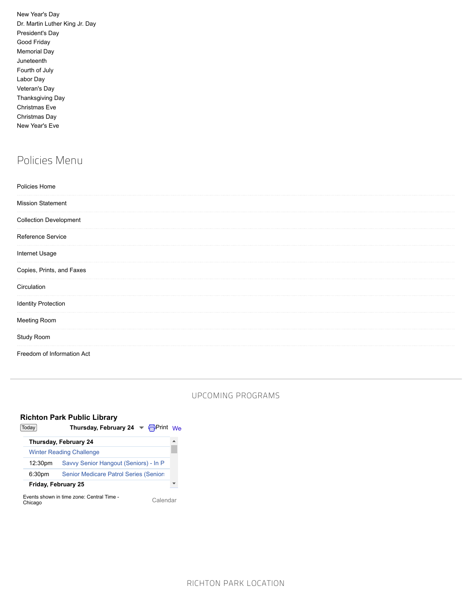| New Year's Day                 |
|--------------------------------|
| Dr. Martin Luther King Jr. Day |
| President's Day                |
| Good Friday                    |
| Memorial Day                   |
| Juneteenth                     |
| Fourth of July                 |
| Labor Day                      |
| Veteran's Day                  |
| <b>Thanksgiving Day</b>        |
| <b>Christmas Eve</b>           |
| Christmas Day                  |
| New Year's Eve                 |

## Policies Menu

| Policies Home                 |  |  |
|-------------------------------|--|--|
| <b>Mission Statement</b>      |  |  |
| <b>Collection Development</b> |  |  |
| Reference Service             |  |  |
| Internet Usage                |  |  |
| Copies, Prints, and Faxes     |  |  |
| Circulation                   |  |  |
| <b>Identity Protection</b>    |  |  |
| Meeting Room                  |  |  |
| Study Room                    |  |  |
| Freedom of Information Act    |  |  |

#### UPCOMING PROGRAMS